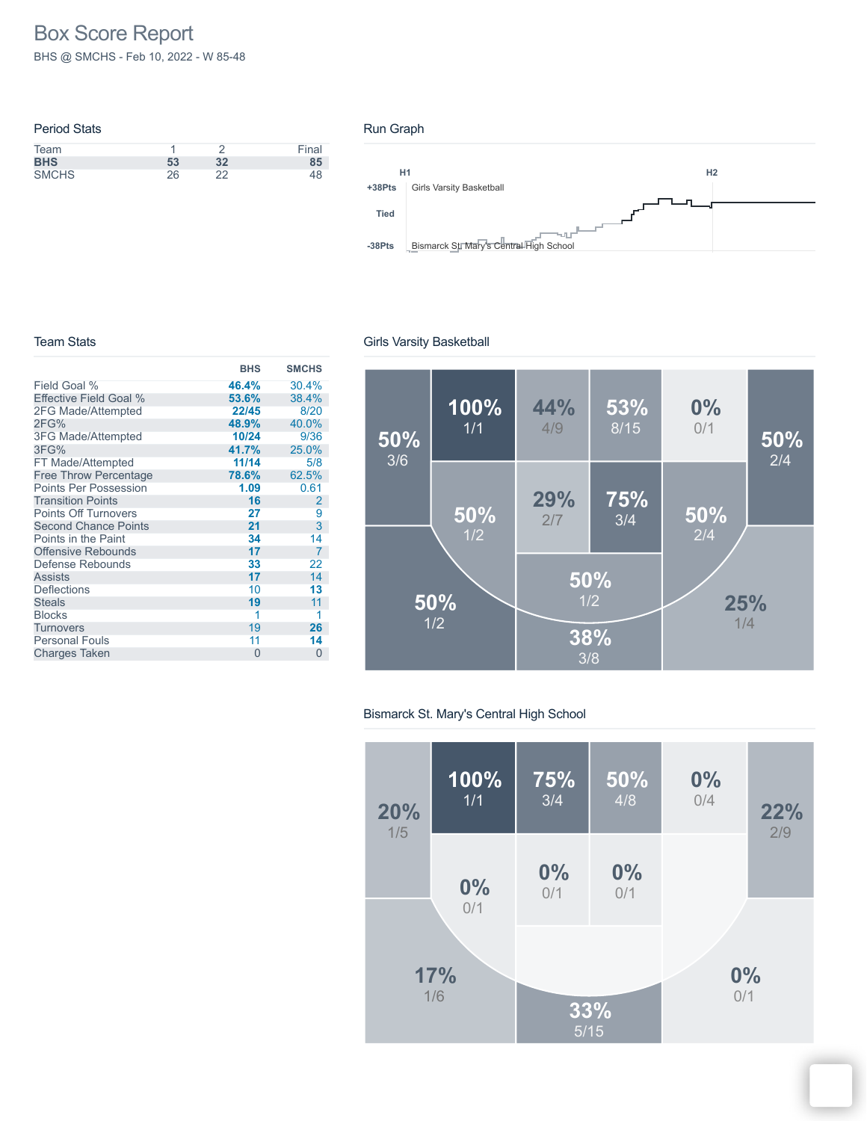# Box Score Report

BHS @ SMCHS - Feb 10, 2022 - W 85-48

| <b>Period Stats</b> |    |    |       |
|---------------------|----|----|-------|
| Team                |    |    | Final |
| <b>BHS</b>          | 53 | 32 | 85    |
| <b>SMCHS</b>        | 26 | つつ | 48    |

#### Run Graph



#### Team Stats

|                               | <b>BHS</b> | <b>SMCHS</b> |
|-------------------------------|------------|--------------|
| Field Goal %                  | 46.4%      | 30.4%        |
| <b>Effective Field Goal %</b> | 53.6%      | 38.4%        |
| 2FG Made/Attempted            | 22/45      | 8/20         |
| 2FG%                          | 48.9%      | 40.0%        |
| <b>3FG Made/Attempted</b>     | 10/24      | 9/36         |
| 3FG%                          | 41.7%      | 25.0%        |
| FT Made/Attempted             | 11/14      | 5/8          |
| <b>Free Throw Percentage</b>  | 78.6%      | 62.5%        |
| <b>Points Per Possession</b>  | 1.09       | 0.61         |
| <b>Transition Points</b>      | 16         | 2            |
| <b>Points Off Turnovers</b>   | 27         | 9            |
| <b>Second Chance Points</b>   | 21         | 3            |
| Points in the Paint           | 34         | 14           |
| <b>Offensive Rebounds</b>     | 17         | 7            |
| Defense Rebounds              | 33         | 22           |
| <b>Assists</b>                | 17         | 14           |
| Deflections                   | 10         | 13           |
| <b>Steals</b>                 | 19         | 11           |
| <b>Blocks</b>                 | 1          |              |
| Turnovers                     | 19         | 26           |
| <b>Personal Fouls</b>         | 11         | 14           |
| <b>Charges Taken</b>          | $\Omega$   | $\Omega$     |

### Girls Varsity Basketball



### Bismarck St. Mary's Central High School